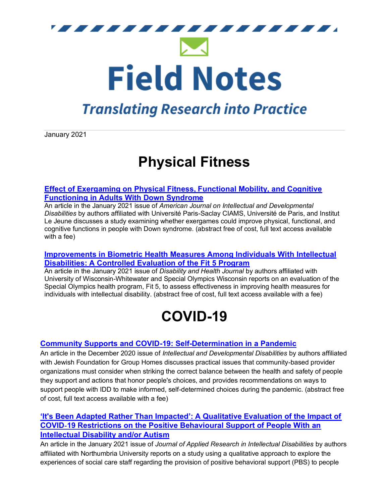

## **Translating Research into Practice**

January 2021

# **Physical Fitness**

### **[Effect of Exergaming on Physical Fitness, Functional Mobility, and Cognitive](http://mms.aaidd.org/ct.php?lid=94055797&mm=46663635061)  [Functioning in Adults With Down Syndrome](http://mms.aaidd.org/ct.php?lid=94055797&mm=46663635061)**

An article in the January 2021 issue of *American Journal on Intellectual and Developmental Disabilities* by authors affiliated with Université Paris-Saclay CIAMS, Université de Paris, and Institut Le Jeune discusses a study examining whether exergames could improve physical, functional, and cognitive functions in people with Down syndrome. (abstract free of cost, full text access available with a fee)

#### **[Improvements in Biometric Health Measures Among Individuals With Intellectual](http://mms.aaidd.org/ct.php?lid=94057019&mm=46663635061)  [Disabilities: A Controlled Evaluation of the Fit 5 Program](http://mms.aaidd.org/ct.php?lid=94057019&mm=46663635061)**

An article in the January 2021 issue of *Disability and Health Journal* by authors affiliated with University of Wisconsin-Whitewater and Special Olympics Wisconsin reports on an evaluation of the Special Olympics health program, Fit 5, to assess effectiveness in improving health measures for individuals with intellectual disability. (abstract free of cost, full text access available with a fee)

# **COVID-19**

### **[Community Supports and COVID-19: Self-Determination in a Pandemic](http://mms.aaidd.org/ct.php?lid=94058241&mm=46663635061)**

An article in the December 2020 issue of *Intellectual and Developmental Disabilities* by authors affiliated with Jewish Foundation for Group Homes discusses practical issues that community-based provider organizations must consider when striking the correct balance between the health and safety of people they support and actions that honor people's choices, and provides recommendations on ways to support people with IDD to make informed, self-determined choices during the pandemic. (abstract free of cost, full text access available with a fee)

### **['It's Been Adapted Rather Than Impacted': A Qualitative Evaluation of the Impact of](http://mms.aaidd.org/ct.php?lid=94059463&mm=46663635061)  COVID**‐**[19 Restrictions on the Positive Behavioural Support of People With an](http://mms.aaidd.org/ct.php?lid=94059463&mm=46663635061)  Intellectual [Disability and/or Autism](http://mms.aaidd.org/ct.php?lid=94059463&mm=46663635061)**

An article in the January 2021 issue of *Journal of Applied Research in Intellectual Disabilities* by authors affiliated with Northumbria University reports on a study using a qualitative approach to explore the experiences of social care staff regarding the provision of positive behavioral support (PBS) to people